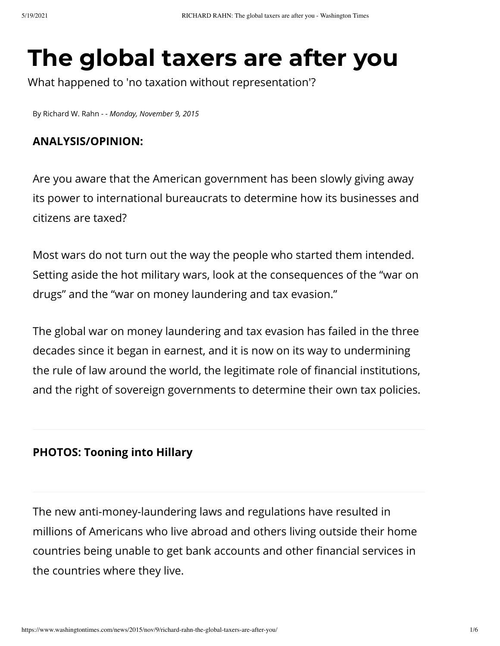# **The global taxers are after you**

What happened to 'no taxation without representation'?

By [Richard W. Rahn](https://www.washingtontimes.com/staff/richard-w-rahn/) *- - Monday, November 9, 2015*

#### **ANALYSIS/OPINION:**

Are you aware that the American government has been slowly giving away its power to international bureaucrats to determine how its businesses and citizens are taxed?

Most wars do not turn out the way the people who started them intended. Setting aside the hot military wars, look at the consequences of the "war on drugs" and the "war on money laundering and tax evasion."

The global war on money laundering and tax evasion has failed in the three decades since it began in earnest, and it is now on its way to undermining the rule of law around the world, the legitimate role of financial institutions, and the right of sovereign governments to determine their own tax policies.

#### **[PHOTOS: Tooning into Hillary](https://www.washingtontimes.com/cartoons/hillary-files/)**

The new anti-money-laundering laws and regulations have resulted in millions of Americans who live abroad and others living outside their home countries being unable to get bank accounts and other financial services in the countries where they live.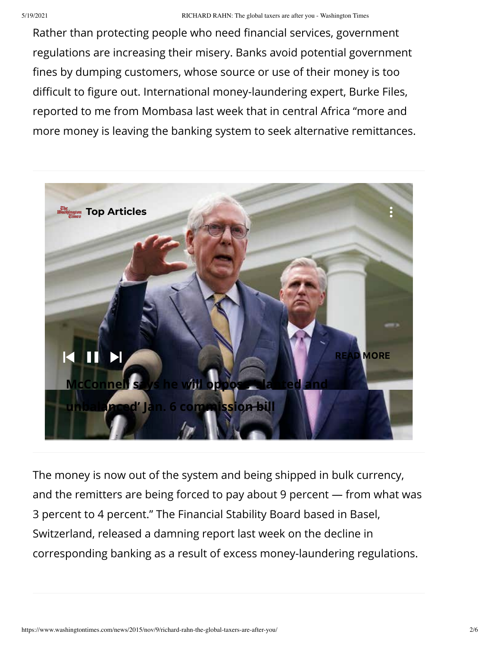Rather than protecting people who need financial services, government regulations are increasing their misery. Banks avoid potential government fines by dumping customers, whose source or use of their money is too difficult to figure out. International money-laundering expert, Burke Files, reported to me from Mombasa last week that in central Africa "more and more money is leaving the banking system to seek alternative remittances.



The money is now out of the system and being shipped in bulk currency, and the remitters are being forced to pay about 9 percent — from what was 3 percent to 4 percent." The Financial Stability Board based in Basel, Switzerland, released a damning report last week on the decline in corresponding banking as a result of excess money-laundering regulations.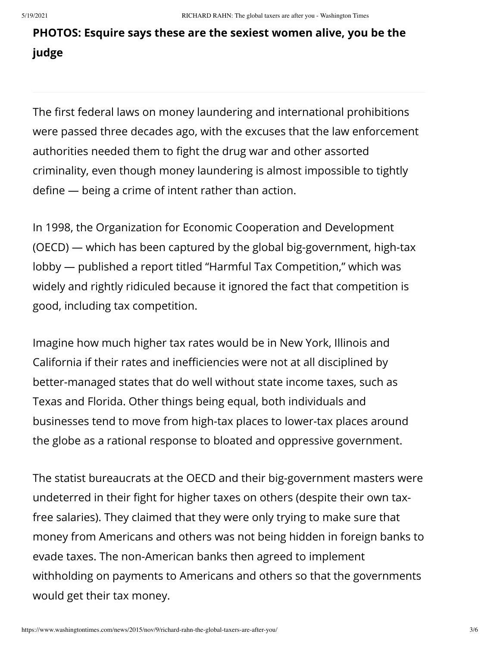# **[PHOTOS: Esquire says these are the sexiest women alive, you be the](https://www.washingtontimes.com/multimedia/collection/sexiest-woman-alive/) judge**

The first federal laws on money laundering and international prohibitions were passed three decades ago, with the excuses that the law enforcement authorities needed them to fight the drug war and other assorted criminality, even though money laundering is almost impossible to tightly define  $-$  being a crime of intent rather than action.

In 1998, the Organization for Economic Cooperation and Development (OECD) — which has been captured by the global big-government, high-tax lobby — published a report titled "Harmful Tax Competition," which was widely and rightly ridiculed because it ignored the fact that competition is good, including tax competition.

Imagine how much higher tax rates would be in New York, Illinois and California if their rates and inefficiencies were not at all disciplined by better-managed states that do well without state income taxes, such as Texas and Florida. Other things being equal, both individuals and businesses tend to move from high-tax places to lower-tax places around the globe as a rational response to bloated and oppressive government.

The statist bureaucrats at the OECD and their big-government masters were undeterred in their fight for higher taxes on others (despite their own taxfree salaries). They claimed that they were only trying to make sure that money from Americans and others was not being hidden in foreign banks to evade taxes. The non-American banks then agreed to implement withholding on payments to Americans and others so that the governments would get their tax money.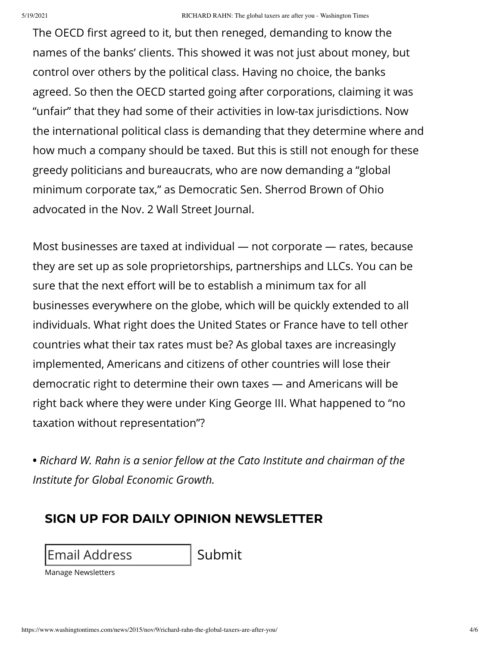The OECD first agreed to it, but then reneged, demanding to know the names of the banks' clients. This showed it was not just about money, but control over others by the political class. Having no choice, the banks agreed. So then the OECD started going after corporations, claiming it was "unfair" that they had some of their activities in low-tax jurisdictions. Now the international political class is demanding that they determine where and how much a company should be taxed. But this is still not enough for these greedy politicians and bureaucrats, who are now demanding a "global minimum corporate tax," as Democratic Sen. Sherrod Brown of Ohio advocated in the Nov. 2 Wall Street Journal.

Most businesses are taxed at individual — not corporate — rates, because they are set up as sole proprietorships, partnerships and LLCs. You can be sure that the next effort will be to establish a minimum tax for all businesses everywhere on the globe, which will be quickly extended to all individuals. What right does the United States or France have to tell other countries what their tax rates must be? As global taxes are increasingly implemented, Americans and citizens of other countries will lose their democratic right to determine their own taxes — and Americans will be right back where they were under King George III. What happened to "no taxation without representation"?

**•** *Richard W. Rahn is a senior fellow at the Cato Institute and chairman of the Institute for Global Economic Growth.*

### **SIGN UP FOR DAILY OPINION NEWSLETTER**

Email Address Submit

[Manage Newsletters](https://www.washingtontimes.com/newsletters/manage/?opinion)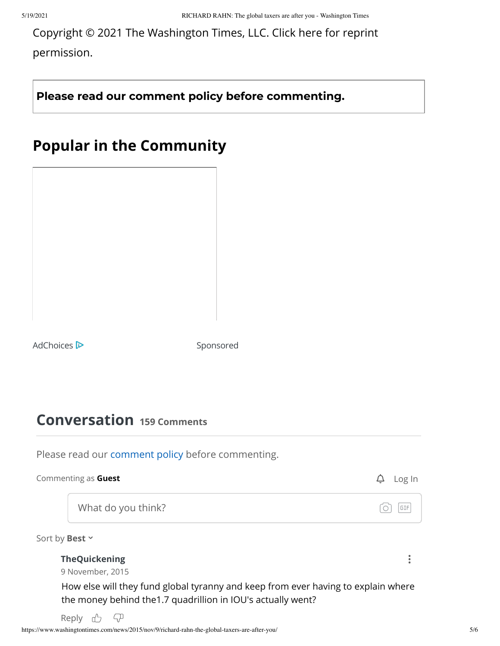[Copyright © 2021 The Washington Times, LLC. Click here for reprint](https://goo.gl/forms/xGjXcUKYsKxMeCUl1) permission.

**Please read our [comment](https://www.washingtontimes.com/comment-policy/) policy before commenting.**

# **Popular in the Community**

[AdChoices](https://dynamic-cdn.spot.im/yad/optout.html) **D** Sponsored

## **Conversation 159 Comments**

Please read our [comment policy](https://www.washingtontimes.com/comment-policy/) before commenting.

| Commenting as Guest  | Log In     |
|----------------------|------------|
| What do you think?   | <b>GIF</b> |
| Sort by Best ~       |            |
| <b>TheQuickening</b> |            |
| 9 November, 2015     |            |

How else will they fund global tyranny and keep from ever having to explain where the money behind the1.7 quadrillion in IOU's actually went?

Reply <sub>L</sub>  $\sqrt{ }$